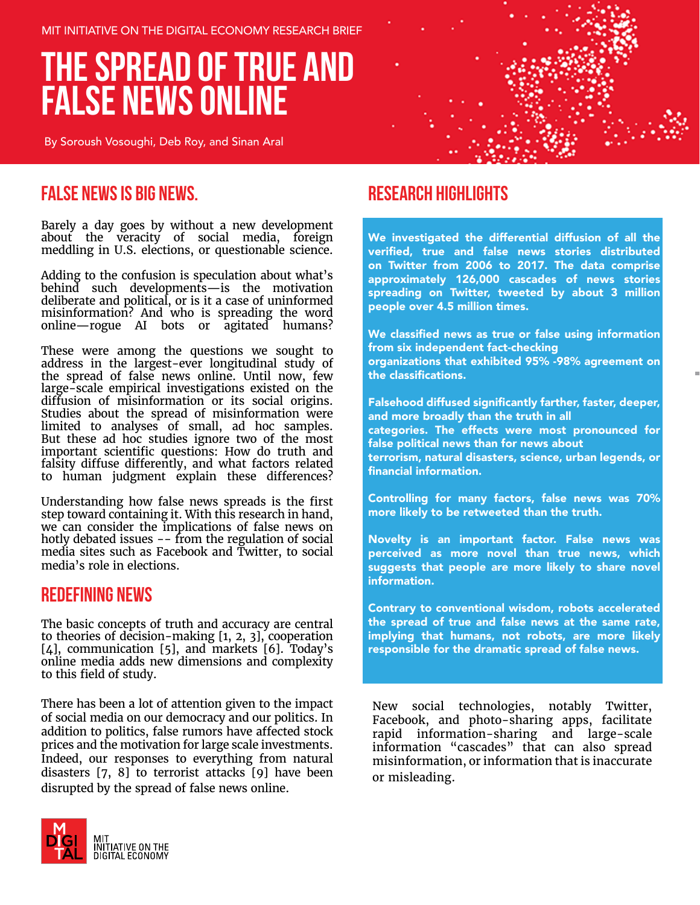MIT INITIATIVE ON THE DIGITAL ECONOMY RESEARCH BRIEF

# **THE SPREAD OF TRUE AND FALSE NEWS ONLINE**

By Soroush Vosoughi, Deb Roy, and Sinan Aral



### **FALSE NEWS IS BIG NEWS.**

Barely a day goes by without a new development about the veracity of social media, foreign meddling in U.S. elections, or questionable science.

Adding to the confusion is speculation about what's behind such developments—is the motivation deliberate and political, or is it a case of uninformed misinformation? And who is spreading the word online—rogue AI bots or agitated humans?

These were among the questions we sought to address in the largest-ever longitudinal study of the spread of false news online. Until now, few large-scale empirical investigations existed on the diffusion of misinformation or its social origins. Studies about the spread of misinformation were limited to analyses of small, ad hoc samples. But these ad hoc studies ignore two of the most important scientific questions: How do truth and falsity diffuse differently, and what factors related to human judgment explain these differences?

Understanding how false news spreads is the first step toward containing it. With this research in hand, we can consider the implications of false news on hotly debated issues -- from the regulation of social media sites such as Facebook and Twitter, to social media's role in elections.

#### **Redefining News**

The basic concepts of truth and accuracy are central to theories of decision-making [1, 2, 3], cooperation [4], communication [5], and markets [6]. Today's online media adds new dimensions and complexity to this field of study.

There has been a lot of attention given to the impact of social media on our democracy and our politics. In addition to politics, false rumors have affected stock prices and the motivation for large scale investments. Indeed, our responses to everything from natural disasters [7, 8] to terrorist attacks [9] have been disrupted by the spread of false news online.



### **RESEARCH HIGHLIGHTS**

We investigated the differential diffusion of all the verified, true and false news stories distributed on Twitter from 2006 to 2017. The data comprise approximately 126,000 cascades of news stories spreading on Twitter, tweeted by about 3 million people over 4.5 million times.

We classified news as true or false using information from six independent fact-checking organizations that exhibited 95% -98% agreement on the classifications.

Falsehood diffused significantly farther, faster, deeper, and more broadly than the truth in all categories. The effects were most pronounced for false political news than for news about terrorism, natural disasters, science, urban legends, or financial information.

Controlling for many factors, false news was 70% more likely to be retweeted than the truth.

Novelty is an important factor. False news was perceived as more novel than true news, which suggests that people are more likely to share novel information.

Contrary to conventional wisdom, robots accelerated the spread of true and false news at the same rate, implying that humans, not robots, are more likely responsible for the dramatic spread of false news.

New social technologies, notably Twitter, Facebook, and photo-sharing apps, facilitate rapid information-sharing and large-scale information "cascades" that can also spread misinformation, or information that is inaccurate or misleading.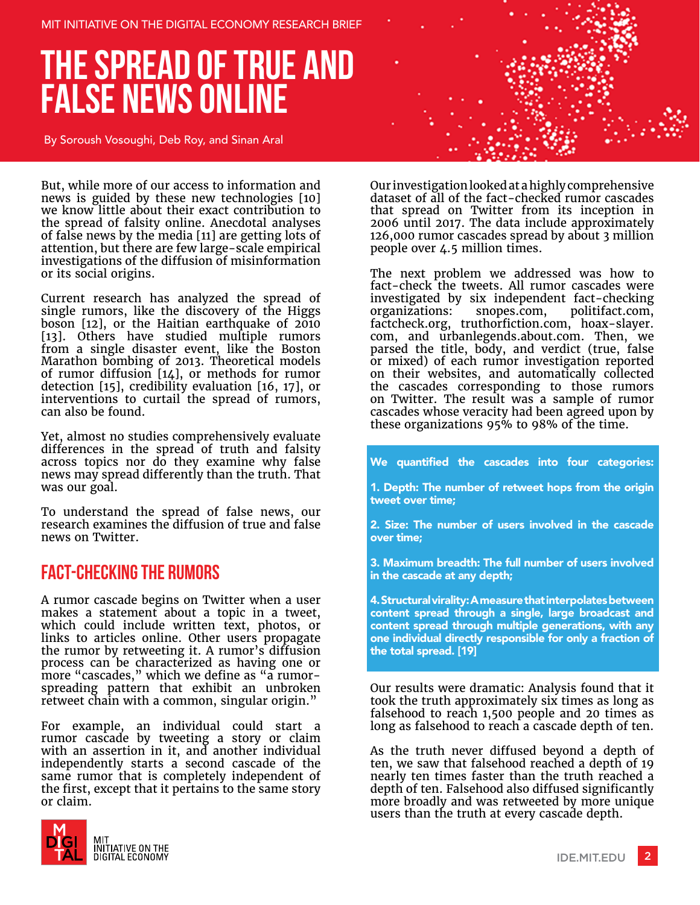# **THE SPREAD OF TRUE AND FALSE NEWS ONLINE**

By Soroush Vosoughi, Deb Roy, and Sinan Aral

But, while more of our access to information and news is guided by these new technologies [10] we know little about their exact contribution to the spread of falsity online. Anecdotal analyses of false news by the media [11] are getting lots of attention, but there are few large-scale empirical investigations of the diffusion of misinformation or its social origins.

Current research has analyzed the spread of single rumors, like the discovery of the Higgs boson [12], or the Haitian earthquake of 2010 [13]. Others have studied multiple rumors from a single disaster event, like the Boston Marathon bombing of 2013. Theoretical models of rumor diffusion [14], or methods for rumor detection [15], credibility evaluation [16, 17], or interventions to curtail the spread of rumors, can also be found.

Yet, almost no studies comprehensively evaluate differences in the spread of truth and falsity across topics nor do they examine why false news may spread differently than the truth. That was our goal.

To understand the spread of false news, our research examines the diffusion of true and false news on Twitter.

### **Fact-checking the Rumors**

A rumor cascade begins on Twitter when a user makes a statement about a topic in a tweet, which could include written text, photos, or links to articles online. Other users propagate the rumor by retweeting it. A rumor's diffusion process can be characterized as having one or more "cascades," which we define as "a rumorspreading pattern that exhibit an unbroken retweet chain with a common, singular origin."

For example, an individual could start a rumor cascade by tweeting a story or claim with an assertion in it, and another individual independently starts a second cascade of the same rumor that is completely independent of the first, except that it pertains to the same story or claim.





Our investigation looked at a highly comprehensive dataset of all of the fact-checked rumor cascades that spread on Twitter from its inception in 2006 until 2017. The data include approximately 126,000 rumor cascades spread by about 3 million people over 4.5 million times.

The next problem we addressed was how to fact-check the tweets. All rumor cascades were investigated by six independent fact-checking organizations: snopes.com, politifact.com, factcheck.org, truthorfiction.com, hoax-slayer. com, and urbanlegends.about.com. Then, we parsed the title, body, and verdict (true, false or mixed) of each rumor investigation reported on their websites, and automatically collected the cascades corresponding to those rumors on Twitter. The result was a sample of rumor cascades whose veracity had been agreed upon by these organizations 95% to 98% of the time.

We quantified the cascades into four categories:

1. Depth: The number of retweet hops from the origin tweet over time;

2. Size: The number of users involved in the cascade over time;

3. Maximum breadth: The full number of users involved in the cascade at any depth;

4. Structural virality: A measure that interpolates between content spread through a single, large broadcast and content spread through multiple generations, with any one individual directly responsible for only a fraction of the total spread. [19]

Our results were dramatic: Analysis found that it took the truth approximately six times as long as falsehood to reach 1,500 people and 20 times as long as falsehood to reach a cascade depth of ten.

As the truth never diffused beyond a depth of ten, we saw that falsehood reached a depth of 19 nearly ten times faster than the truth reached a depth of ten. Falsehood also diffused significantly more broadly and was retweeted by more unique users than the truth at every cascade depth.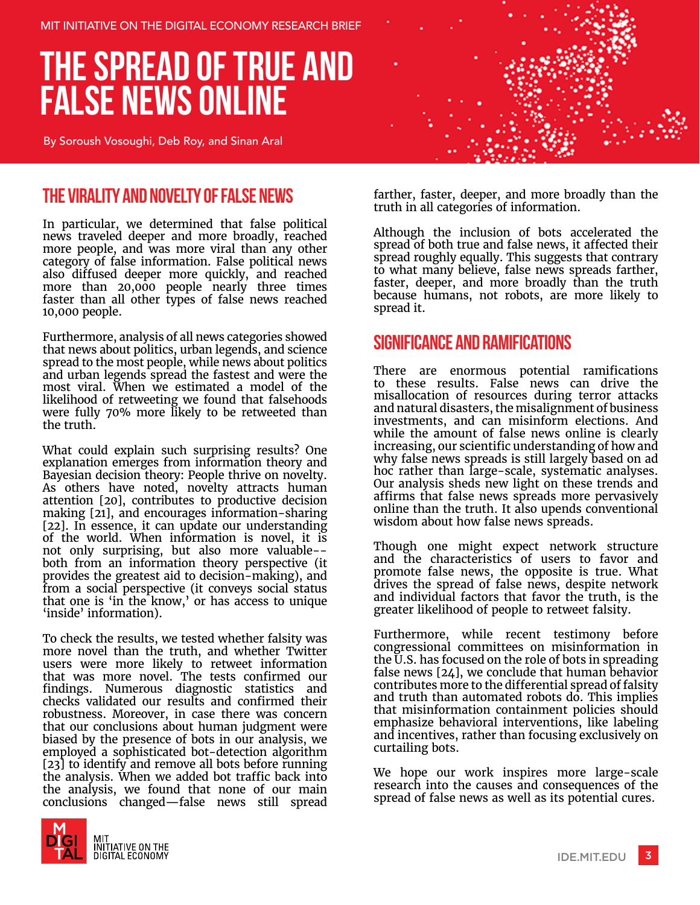MIT INITIATIVE ON THE DIGITAL ECONOMY RESEARCH BRIEF

# **THE SPREAD OF TRUE AND FALSE NEWS ONLINE**

By Soroush Vosoughi, Deb Roy, and Sinan Aral

### **The Virality and Novelty of False News**

In particular, we determined that false political news traveled deeper and more broadly, reached more people, and was more viral than any other category of false information. False political news also diffused deeper more quickly, and reached more than 20,000 people nearly three times faster than all other types of false news reached 10,000 people.

Furthermore, analysis of all news categories showed that news about politics, urban legends, and science spread to the most people, while news about politics and urban legends spread the fastest and were the most viral. When we estimated a model of the likelihood of retweeting we found that falsehoods were fully 70% more likely to be retweeted than the truth.

What could explain such surprising results? One explanation emerges from information theory and Bayesian decision theory: People thrive on novelty. As others have noted, novelty attracts human attention [20], contributes to productive decision making [21], and encourages information-sharing [22]. In essence, it can update our understanding of the world. When information is novel, it is not only surprising, but also more valuable- both from an information theory perspective (it provides the greatest aid to decision-making), and from a social perspective (it conveys social status that one is 'in the know,' or has access to unique 'inside' information).

To check the results, we tested whether falsity was more novel than the truth, and whether Twitter users were more likely to retweet information that was more novel. The tests confirmed our findings. Numerous diagnostic statistics and checks validated our results and confirmed their robustness. Moreover, in case there was concern that our conclusions about human judgment were biased by the presence of bots in our analysis, we employed a sophisticated bot-detection algorithm [23] to identify and remove all bots before running the analysis. When we added bot traffic back into the analysis, we found that none of our main conclusions changed—false news still spread



farther, faster, deeper, and more broadly than the truth in all categories of information.

Although the inclusion of bots accelerated the spread of both true and false news, it affected their spread roughly equally. This suggests that contrary to what many believe, false news spreads farther, faster, deeper, and more broadly than the truth because humans, not robots, are more likely to spread it.

#### **Significance and Ramifications**

There are enormous potential ramifications to these results. False news can drive the misallocation of resources during terror attacks and natural disasters, the misalignment of business investments, and can misinform elections. And while the amount of false news online is clearly increasing, our scientific understanding of how and why false news spreads is still largely based on ad hoc rather than large-scale, systematic analyses. Our analysis sheds new light on these trends and affirms that false news spreads more pervasively online than the truth. It also upends conventional wisdom about how false news spreads.

Though one might expect network structure and the characteristics of users to favor and promote false news, the opposite is true. What drives the spread of false news, despite network and individual factors that favor the truth, is the greater likelihood of people to retweet falsity.

Furthermore, while recent testimony before congressional committees on misinformation in the U.S. has focused on the role of bots in spreading false news [24], we conclude that human behavior contributes more to the differential spread of falsity and truth than automated robots do. This implies that misinformation containment policies should emphasize behavioral interventions, like labeling and incentives, rather than focusing exclusively on curtailing bots.

We hope our work inspires more large-scale research into the causes and consequences of the spread of false news as well as its potential cures.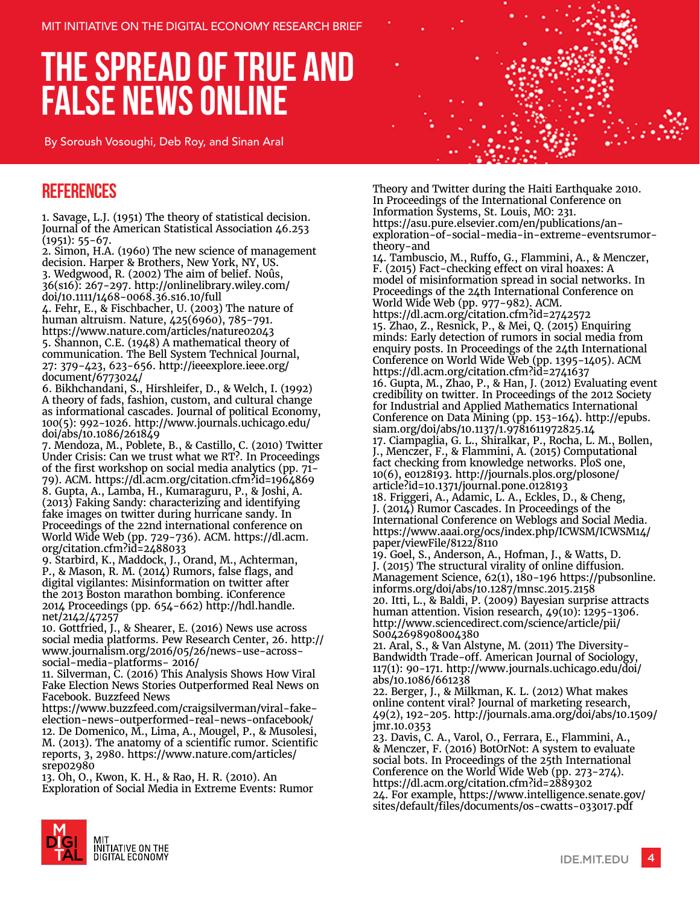# **THE SPREAD OF TRUE AND FALSE NEWS ONLINE**

By Soroush Vosoughi, Deb Roy, and Sinan Aral

### **References**

1. Savage, L.J. (1951) The theory of statistical decision. Journal of the American Statistical Association 46.253 (1951): 55-67.

2. Simon, H.A. (1960) The new science of management decision. Harper & Brothers, New York, NY, US. 3. Wedgwood, R. (2002) The aim of belief. Noûs, 36(s16): 267-297. http://onlinelibrary.wiley.com/ doi/10.1111/1468-0068.36.s16.10/full

4. Fehr, E., & Fischbacher, U. (2003) The nature of human altruism. Nature, 425(6960), 785-791. https://www.nature.com/articles/nature02043 5. Shannon, C.E. (1948) A mathematical theory of communication. The Bell System Technical Journal, 27: 379-423, 623-656. http://ieeexplore.ieee.org/ document/6773024/

6. Bikhchandani, S., Hirshleifer, D., & Welch, I. (1992) A theory of fads, fashion, custom, and cultural change as informational cascades. Journal of political Economy, 100(5): 992-1026. http://www.journals.uchicago.edu/ doi/abs/10.1086/261849

7. Mendoza, M., Poblete, B., & Castillo, C. (2010) Twitter Under Crisis: Can we trust what we RT?. In Proceedings of the first workshop on social media analytics (pp. 71- 79). ACM. https://dl.acm.org/citation.cfm?id=1964869 8. Gupta, A., Lamba, H., Kumaraguru, P., & Joshi, A. (2013) Faking Sandy: characterizing and identifying fake images on twitter during hurricane sandy. In Proceedings of the 22nd international conference on World Wide Web (pp. 729-736). ACM. https://dl.acm. org/citation.cfm?id=2488033

9. Starbird, K., Maddock, J., Orand, M., Achterman, P., & Mason, R. M. (2014) Rumors, false flags, and digital vigilantes: Misinformation on twitter after the 2013 Boston marathon bombing. iConference 2014 Proceedings (pp. 654-662) http://hdl.handle. net/2142/47257

10. Gottfried, J., & Shearer, E. (2016) News use across social media platforms. Pew Research Center, 26. http:// www.journalism.org/2016/05/26/news-use-acrosssocial-media-platforms- 2016/

11. Silverman, C. (2016) This Analysis Shows How Viral Fake Election News Stories Outperformed Real News on Facebook. Buzzfeed News

https://www.buzzfeed.com/craigsilverman/viral-fakeelection-news-outperformed-real-news-onfacebook/ 12. De Domenico, M., Lima, A., Mougel, P., & Musolesi, M. (2013). The anatomy of a scientific rumor. Scientific reports, 3, 2980. https://www.nature.com/articles/ srep02980

13. Oh, O., Kwon, K. H., & Rao, H. R. (2010). An Exploration of Social Media in Extreme Events: Rumor



Theory and Twitter during the Haiti Earthquake 2010. In Proceedings of the International Conference on Information Systems, St. Louis, MO: 231. https://asu.pure.elsevier.com/en/publications/anexploration-of-social-media-in-extreme-eventsrumortheory-and

14. Tambuscio, M., Ruffo, G., Flammini, A., & Menczer, F. (2015) Fact-checking effect on viral hoaxes: A model of misinformation spread in social networks. In Proceedings of the 24th International Conference on World Wide Web (pp. 977-982). ACM.

https://dl.acm.org/citation.cfm?id=2742572 15. Zhao, Z., Resnick, P., & Mei, Q. (2015) Enquiring minds: Early detection of rumors in social media from enquiry posts. In Proceedings of the 24th International Conference on World Wide Web (pp. 1395-1405). ACM https://dl.acm.org/citation.cfm?id=2741637 16. Gupta, M., Zhao, P., & Han, J. (2012) Evaluating event

credibility on twitter. In Proceedings of the 2012 Society for Industrial and Applied Mathematics International Conference on Data Mining (pp. 153-164). http://epubs. siam.org/doi/abs/10.1137/1.9781611972825.14 17. Ciampaglia, G. L., Shiralkar, P., Rocha, L. M., Bollen, J., Menczer, F., & Flammini, A. (2015) Computational fact checking from knowledge networks. PloS one,

10(6), e0128193. http://journals.plos.org/plosone/ article?id=10.1371/journal.pone.0128193 18. Friggeri, A., Adamic, L. A., Eckles, D., & Cheng,

J. (2014) Rumor Cascades. In Proceedings of the International Conference on Weblogs and Social Media. https://www.aaai.org/ocs/index.php/ICWSM/ICWSM14/ paper/viewFile/8122/8110

19. Goel, S., Anderson, A., Hofman, J., & Watts, D. J. (2015) The structural virality of online diffusion. Management Science, 62(1), 180-196 https://pubsonline. informs.org/doi/abs/10.1287/mnsc.2015.2158 20. Itti, L., & Baldi, P. (2009) Bayesian surprise attracts human attention. Vision research, 49(10): 1295-1306. http://www.sciencedirect.com/science/article/pii/ S0042698908004380

21. Aral, S., & Van Alstyne, M. (2011) The Diversity-Bandwidth Trade-off. American Journal of Sociology, 117(1): 90-171. http://www.journals.uchicago.edu/doi/ abs/10.1086/661238

22. Berger, J., & Milkman, K. L. (2012) What makes online content viral? Journal of marketing research, 49(2), 192-205. http://journals.ama.org/doi/abs/10.1509/ jmr.10.0353

23. Davis, C. A., Varol, O., Ferrara, E., Flammini, A., & Menczer, F. (2016) BotOrNot: A system to evaluate social bots. In Proceedings of the 25th International Conference on the World Wide Web (pp. 273-274). https://dl.acm.org/citation.cfm?id=2889302 24. For example, https://www.intelligence.senate.gov/ sites/default/files/documents/os-cwatts-033017.pdf